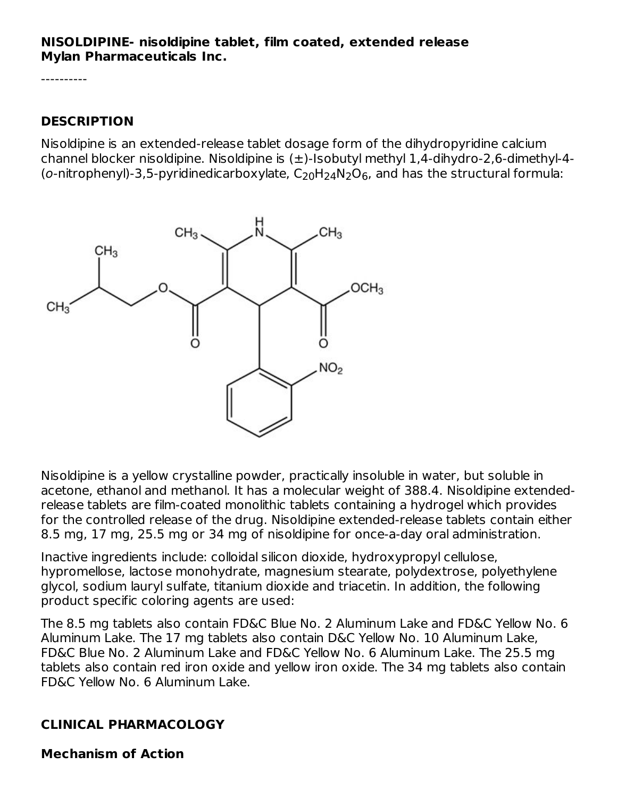#### **NISOLDIPINE- nisoldipine tablet, film coated, extended release Mylan Pharmaceuticals Inc.**

----------

#### **DESCRIPTION**

Nisoldipine is an extended-release tablet dosage form of the dihydropyridine calcium channel blocker nisoldipine. Nisoldipine is (±)-Isobutyl methyl 1,4-dihydro-2,6-dimethyl-4- (o-nitrophenyl)-3,5-pyridinedicarboxylate,  $\mathsf{C}_\mathrm{20} \mathsf{H}_\mathrm{24} \mathsf{N}_\mathrm{2} \mathsf{O}_6$ , and has the structural formula:



Nisoldipine is a yellow crystalline powder, practically insoluble in water, but soluble in acetone, ethanol and methanol. It has a molecular weight of 388.4. Nisoldipine extendedrelease tablets are film-coated monolithic tablets containing a hydrogel which provides for the controlled release of the drug. Nisoldipine extended-release tablets contain either 8.5 mg, 17 mg, 25.5 mg or 34 mg of nisoldipine for once-a-day oral administration.

Inactive ingredients include: colloidal silicon dioxide, hydroxypropyl cellulose, hypromellose, lactose monohydrate, magnesium stearate, polydextrose, polyethylene glycol, sodium lauryl sulfate, titanium dioxide and triacetin. In addition, the following product specific coloring agents are used:

The 8.5 mg tablets also contain FD&C Blue No. 2 Aluminum Lake and FD&C Yellow No. 6 Aluminum Lake. The 17 mg tablets also contain D&C Yellow No. 10 Aluminum Lake, FD&C Blue No. 2 Aluminum Lake and FD&C Yellow No. 6 Aluminum Lake. The 25.5 mg tablets also contain red iron oxide and yellow iron oxide. The 34 mg tablets also contain FD&C Yellow No. 6 Aluminum Lake.

### **CLINICAL PHARMACOLOGY**

**Mechanism of Action**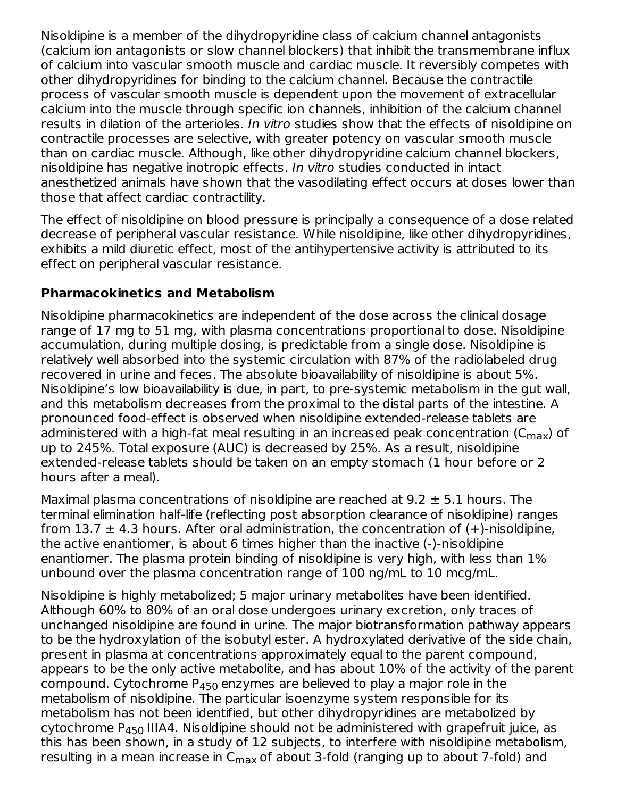Nisoldipine is a member of the dihydropyridine class of calcium channel antagonists (calcium ion antagonists or slow channel blockers) that inhibit the transmembrane influx of calcium into vascular smooth muscle and cardiac muscle. It reversibly competes with other dihydropyridines for binding to the calcium channel. Because the contractile process of vascular smooth muscle is dependent upon the movement of extracellular calcium into the muscle through specific ion channels, inhibition of the calcium channel results in dilation of the arterioles. In vitro studies show that the effects of nisoldipine on contractile processes are selective, with greater potency on vascular smooth muscle than on cardiac muscle. Although, like other dihydropyridine calcium channel blockers, nisoldipine has negative inotropic effects. In vitro studies conducted in intact anesthetized animals have shown that the vasodilating effect occurs at doses lower than those that affect cardiac contractility.

The effect of nisoldipine on blood pressure is principally a consequence of a dose related decrease of peripheral vascular resistance. While nisoldipine, like other dihydropyridines, exhibits a mild diuretic effect, most of the antihypertensive activity is attributed to its effect on peripheral vascular resistance.

#### **Pharmacokinetics and Metabolism**

Nisoldipine pharmacokinetics are independent of the dose across the clinical dosage range of 17 mg to 51 mg, with plasma concentrations proportional to dose. Nisoldipine accumulation, during multiple dosing, is predictable from a single dose. Nisoldipine is relatively well absorbed into the systemic circulation with 87% of the radiolabeled drug recovered in urine and feces. The absolute bioavailability of nisoldipine is about 5%. Nisoldipine's low bioavailability is due, in part, to pre-systemic metabolism in the gut wall, and this metabolism decreases from the proximal to the distal parts of the intestine. A pronounced food-effect is observed when nisoldipine extended-release tablets are administered with a high-fat meal resulting in an increased peak concentration (C $_{\sf max}$ ) of up to 245%. Total exposure (AUC) is decreased by 25%. As a result, nisoldipine extended-release tablets should be taken on an empty stomach (1 hour before or 2 hours after a meal).

Maximal plasma concentrations of nisoldipine are reached at  $9.2 \pm 5.1$  hours. The terminal elimination half-life (reflecting post absorption clearance of nisoldipine) ranges from 13.7  $\pm$  4.3 hours. After oral administration, the concentration of  $(+)$ -nisoldipine, the active enantiomer, is about 6 times higher than the inactive (-)-nisoldipine enantiomer. The plasma protein binding of nisoldipine is very high, with less than 1% unbound over the plasma concentration range of 100 ng/mL to 10 mcg/mL.

Nisoldipine is highly metabolized; 5 major urinary metabolites have been identified. Although 60% to 80% of an oral dose undergoes urinary excretion, only traces of unchanged nisoldipine are found in urine. The major biotransformation pathway appears to be the hydroxylation of the isobutyl ester. A hydroxylated derivative of the side chain, present in plasma at concentrations approximately equal to the parent compound, appears to be the only active metabolite, and has about 10% of the activity of the parent compound. Cytochrome P $_{450}$  enzymes are believed to play a major role in the metabolism of nisoldipine. The particular isoenzyme system responsible for its metabolism has not been identified, but other dihydropyridines are metabolized by cytochrome P $_{\rm 450}$  IIIA4. Nisoldipine should not be administered with grapefruit juice, as this has been shown, in a study of 12 subjects, to interfere with nisoldipine metabolism, resulting in a mean increase in C<sub>max</sub> of about 3-fold (ranging up to about 7-fold) and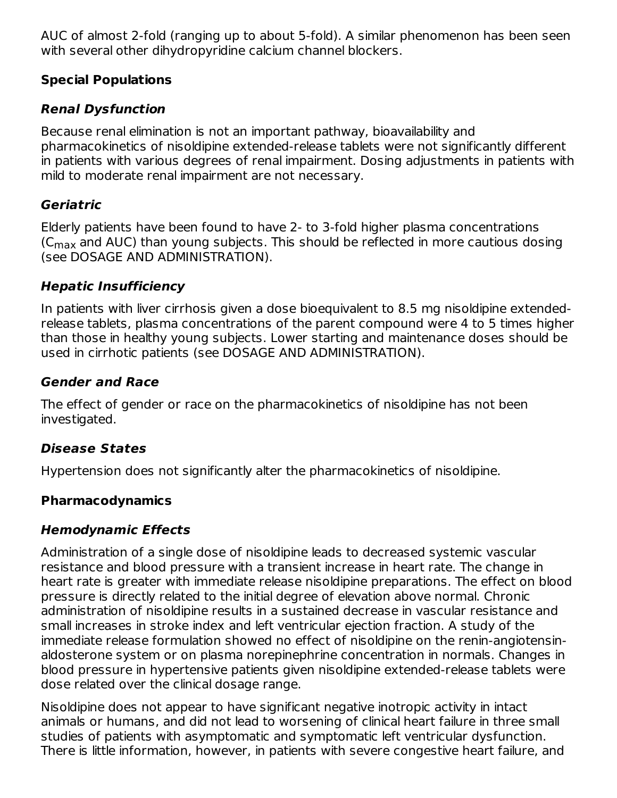AUC of almost 2-fold (ranging up to about 5-fold). A similar phenomenon has been seen with several other dihydropyridine calcium channel blockers.

#### **Special Populations**

### **Renal Dysfunction**

Because renal elimination is not an important pathway, bioavailability and pharmacokinetics of nisoldipine extended-release tablets were not significantly different in patients with various degrees of renal impairment. Dosing adjustments in patients with mild to moderate renal impairment are not necessary.

### **Geriatric**

Elderly patients have been found to have 2- to 3-fold higher plasma concentrations (C $_{\sf max}$  and AUC) than young subjects. This should be reflected in more cautious dosing (see DOSAGE AND ADMINISTRATION).

#### **Hepatic Insufficiency**

In patients with liver cirrhosis given a dose bioequivalent to 8.5 mg nisoldipine extendedrelease tablets, plasma concentrations of the parent compound were 4 to 5 times higher than those in healthy young subjects. Lower starting and maintenance doses should be used in cirrhotic patients (see DOSAGE AND ADMINISTRATION).

#### **Gender and Race**

The effect of gender or race on the pharmacokinetics of nisoldipine has not been investigated.

### **Disease States**

Hypertension does not significantly alter the pharmacokinetics of nisoldipine.

### **Pharmacodynamics**

### **Hemodynamic Effects**

Administration of a single dose of nisoldipine leads to decreased systemic vascular resistance and blood pressure with a transient increase in heart rate. The change in heart rate is greater with immediate release nisoldipine preparations. The effect on blood pressure is directly related to the initial degree of elevation above normal. Chronic administration of nisoldipine results in a sustained decrease in vascular resistance and small increases in stroke index and left ventricular ejection fraction. A study of the immediate release formulation showed no effect of nisoldipine on the renin-angiotensinaldosterone system or on plasma norepinephrine concentration in normals. Changes in blood pressure in hypertensive patients given nisoldipine extended-release tablets were dose related over the clinical dosage range.

Nisoldipine does not appear to have significant negative inotropic activity in intact animals or humans, and did not lead to worsening of clinical heart failure in three small studies of patients with asymptomatic and symptomatic left ventricular dysfunction. There is little information, however, in patients with severe congestive heart failure, and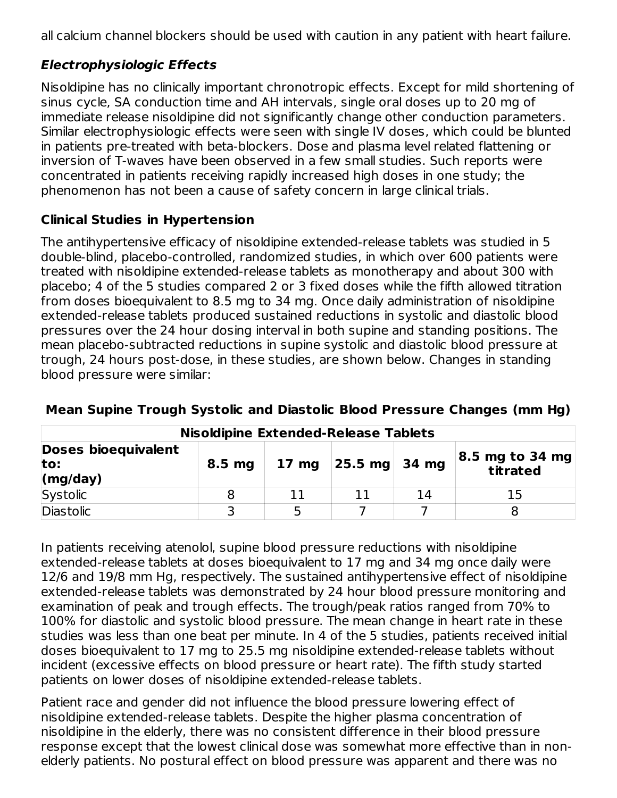all calcium channel blockers should be used with caution in any patient with heart failure.

## **Electrophysiologic Effects**

Nisoldipine has no clinically important chronotropic effects. Except for mild shortening of sinus cycle, SA conduction time and AH intervals, single oral doses up to 20 mg of immediate release nisoldipine did not significantly change other conduction parameters. Similar electrophysiologic effects were seen with single IV doses, which could be blunted in patients pre-treated with beta-blockers. Dose and plasma level related flattening or inversion of T-waves have been observed in a few small studies. Such reports were concentrated in patients receiving rapidly increased high doses in one study; the phenomenon has not been a cause of safety concern in large clinical trials.

### **Clinical Studies in Hypertension**

The antihypertensive efficacy of nisoldipine extended-release tablets was studied in 5 double-blind, placebo-controlled, randomized studies, in which over 600 patients were treated with nisoldipine extended-release tablets as monotherapy and about 300 with placebo; 4 of the 5 studies compared 2 or 3 fixed doses while the fifth allowed titration from doses bioequivalent to 8.5 mg to 34 mg. Once daily administration of nisoldipine extended-release tablets produced sustained reductions in systolic and diastolic blood pressures over the 24 hour dosing interval in both supine and standing positions. The mean placebo-subtracted reductions in supine systolic and diastolic blood pressure at trough, 24 hours post-dose, in these studies, are shown below. Changes in standing blood pressure were similar:

| <b>Nisoldipine Extended-Release Tablets</b>            |                   |                 |                           |    |                                |  |  |
|--------------------------------------------------------|-------------------|-----------------|---------------------------|----|--------------------------------|--|--|
| <b>Doses bioequivalent</b><br>to:<br>$\langle$ mg/day) | 8.5 <sub>mg</sub> | $17 \text{ mg}$ | $ 25.5 \text{ mg} $ 34 mg |    | $ 8.5$ mg to 34 mg<br>titrated |  |  |
| Systolic                                               |                   |                 |                           | 14 | 15                             |  |  |
| <b>Diastolic</b>                                       |                   |                 |                           |    |                                |  |  |

### **Mean Supine Trough Systolic and Diastolic Blood Pressure Changes (mm Hg)**

In patients receiving atenolol, supine blood pressure reductions with nisoldipine extended-release tablets at doses bioequivalent to 17 mg and 34 mg once daily were 12/6 and 19/8 mm Hg, respectively. The sustained antihypertensive effect of nisoldipine extended-release tablets was demonstrated by 24 hour blood pressure monitoring and examination of peak and trough effects. The trough/peak ratios ranged from 70% to 100% for diastolic and systolic blood pressure. The mean change in heart rate in these studies was less than one beat per minute. In 4 of the 5 studies, patients received initial doses bioequivalent to 17 mg to 25.5 mg nisoldipine extended-release tablets without incident (excessive effects on blood pressure or heart rate). The fifth study started patients on lower doses of nisoldipine extended-release tablets.

Patient race and gender did not influence the blood pressure lowering effect of nisoldipine extended-release tablets. Despite the higher plasma concentration of nisoldipine in the elderly, there was no consistent difference in their blood pressure response except that the lowest clinical dose was somewhat more effective than in nonelderly patients. No postural effect on blood pressure was apparent and there was no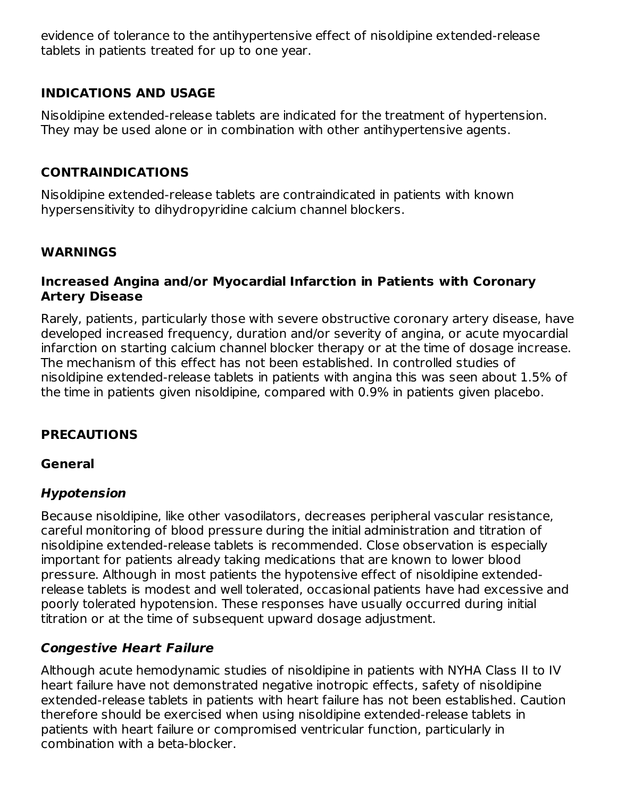evidence of tolerance to the antihypertensive effect of nisoldipine extended-release tablets in patients treated for up to one year.

### **INDICATIONS AND USAGE**

Nisoldipine extended-release tablets are indicated for the treatment of hypertension. They may be used alone or in combination with other antihypertensive agents.

#### **CONTRAINDICATIONS**

Nisoldipine extended-release tablets are contraindicated in patients with known hypersensitivity to dihydropyridine calcium channel blockers.

#### **WARNINGS**

#### **Increased Angina and/or Myocardial Infarction in Patients with Coronary Artery Disease**

Rarely, patients, particularly those with severe obstructive coronary artery disease, have developed increased frequency, duration and/or severity of angina, or acute myocardial infarction on starting calcium channel blocker therapy or at the time of dosage increase. The mechanism of this effect has not been established. In controlled studies of nisoldipine extended-release tablets in patients with angina this was seen about 1.5% of the time in patients given nisoldipine, compared with 0.9% in patients given placebo.

### **PRECAUTIONS**

#### **General**

#### **Hypotension**

Because nisoldipine, like other vasodilators, decreases peripheral vascular resistance, careful monitoring of blood pressure during the initial administration and titration of nisoldipine extended-release tablets is recommended. Close observation is especially important for patients already taking medications that are known to lower blood pressure. Although in most patients the hypotensive effect of nisoldipine extendedrelease tablets is modest and well tolerated, occasional patients have had excessive and poorly tolerated hypotension. These responses have usually occurred during initial titration or at the time of subsequent upward dosage adjustment.

### **Congestive Heart Failure**

Although acute hemodynamic studies of nisoldipine in patients with NYHA Class II to IV heart failure have not demonstrated negative inotropic effects, safety of nisoldipine extended-release tablets in patients with heart failure has not been established. Caution therefore should be exercised when using nisoldipine extended-release tablets in patients with heart failure or compromised ventricular function, particularly in combination with a beta-blocker.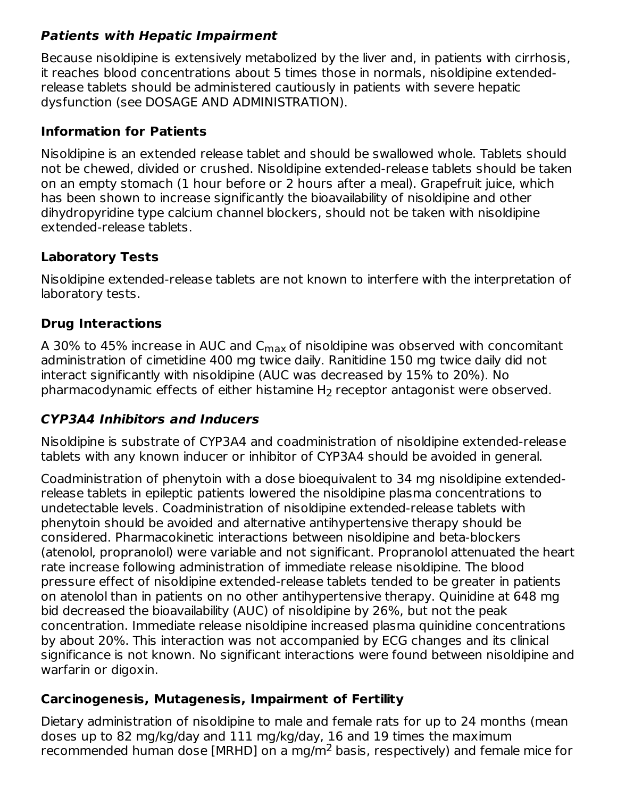### **Patients with Hepatic Impairment**

Because nisoldipine is extensively metabolized by the liver and, in patients with cirrhosis, it reaches blood concentrations about 5 times those in normals, nisoldipine extendedrelease tablets should be administered cautiously in patients with severe hepatic dysfunction (see DOSAGE AND ADMINISTRATION).

### **Information for Patients**

Nisoldipine is an extended release tablet and should be swallowed whole. Tablets should not be chewed, divided or crushed. Nisoldipine extended-release tablets should be taken on an empty stomach (1 hour before or 2 hours after a meal). Grapefruit juice, which has been shown to increase significantly the bioavailability of nisoldipine and other dihydropyridine type calcium channel blockers, should not be taken with nisoldipine extended-release tablets.

### **Laboratory Tests**

Nisoldipine extended-release tablets are not known to interfere with the interpretation of laboratory tests.

### **Drug Interactions**

A 30% to 45% increase in AUC and C<sub>max</sub> of nisoldipine was observed with concomitant administration of cimetidine 400 mg twice daily. Ranitidine 150 mg twice daily did not interact significantly with nisoldipine (AUC was decreased by 15% to 20%). No pharmacodynamic effects of either histamine  $H_2$  receptor antagonist were observed.

## **CYP3A4 Inhibitors and Inducers**

Nisoldipine is substrate of CYP3A4 and coadministration of nisoldipine extended-release tablets with any known inducer or inhibitor of CYP3A4 should be avoided in general.

Coadministration of phenytoin with a dose bioequivalent to 34 mg nisoldipine extendedrelease tablets in epileptic patients lowered the nisoldipine plasma concentrations to undetectable levels. Coadministration of nisoldipine extended-release tablets with phenytoin should be avoided and alternative antihypertensive therapy should be considered. Pharmacokinetic interactions between nisoldipine and beta-blockers (atenolol, propranolol) were variable and not significant. Propranolol attenuated the heart rate increase following administration of immediate release nisoldipine. The blood pressure effect of nisoldipine extended-release tablets tended to be greater in patients on atenolol than in patients on no other antihypertensive therapy. Quinidine at 648 mg bid decreased the bioavailability (AUC) of nisoldipine by 26%, but not the peak concentration. Immediate release nisoldipine increased plasma quinidine concentrations by about 20%. This interaction was not accompanied by ECG changes and its clinical significance is not known. No significant interactions were found between nisoldipine and warfarin or digoxin.

### **Carcinogenesis, Mutagenesis, Impairment of Fertility**

Dietary administration of nisoldipine to male and female rats for up to 24 months (mean doses up to 82 mg/kg/day and 111 mg/kg/day, 16 and 19 times the maximum recommended human dose [MRHD] on a mg/m<sup>2</sup> basis, respectively) and female mice for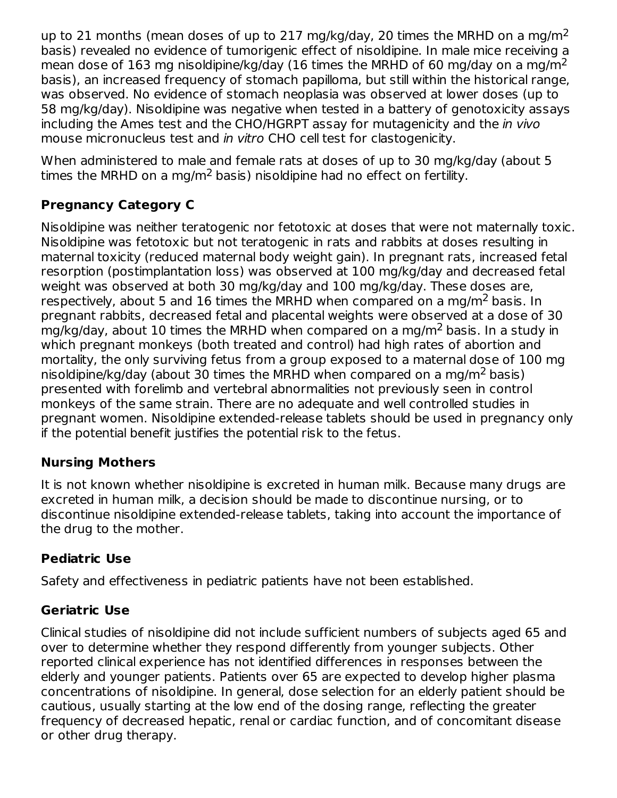up to 21 months (mean doses of up to 217 mg/kg/day, 20 times the MRHD on a mg/m<sup>2</sup> basis) revealed no evidence of tumorigenic effect of nisoldipine. In male mice receiving a mean dose of 163 mg nisoldipine/kg/day (16 times the MRHD of 60 mg/day on a mg/m<sup>2</sup> basis), an increased frequency of stomach papilloma, but still within the historical range, was observed. No evidence of stomach neoplasia was observed at lower doses (up to 58 mg/kg/day). Nisoldipine was negative when tested in a battery of genotoxicity assays including the Ames test and the CHO/HGRPT assay for mutagenicity and the in vivo mouse micronucleus test and in vitro CHO cell test for clastogenicity.

When administered to male and female rats at doses of up to 30 mg/kg/day (about 5 times the MRHD on a mg/m<sup>2</sup> basis) nisoldipine had no effect on fertility.

## **Pregnancy Category C**

Nisoldipine was neither teratogenic nor fetotoxic at doses that were not maternally toxic. Nisoldipine was fetotoxic but not teratogenic in rats and rabbits at doses resulting in maternal toxicity (reduced maternal body weight gain). In pregnant rats, increased fetal resorption (postimplantation loss) was observed at 100 mg/kg/day and decreased fetal weight was observed at both 30 mg/kg/day and 100 mg/kg/day. These doses are, respectively, about 5 and 16 times the MRHD when compared on a mg/m<sup>2</sup> basis. In pregnant rabbits, decreased fetal and placental weights were observed at a dose of 30 mg/kg/day, about 10 times the MRHD when compared on a mg/m<sup>2</sup> basis. In a study in which pregnant monkeys (both treated and control) had high rates of abortion and mortality, the only surviving fetus from a group exposed to a maternal dose of 100 mg nisoldipine/kg/day (about 30 times the MRHD when compared on a mg/m<sup>2</sup> basis) presented with forelimb and vertebral abnormalities not previously seen in control monkeys of the same strain. There are no adequate and well controlled studies in pregnant women. Nisoldipine extended-release tablets should be used in pregnancy only if the potential benefit justifies the potential risk to the fetus.

### **Nursing Mothers**

It is not known whether nisoldipine is excreted in human milk. Because many drugs are excreted in human milk, a decision should be made to discontinue nursing, or to discontinue nisoldipine extended-release tablets, taking into account the importance of the drug to the mother.

## **Pediatric Use**

Safety and effectiveness in pediatric patients have not been established.

## **Geriatric Use**

Clinical studies of nisoldipine did not include sufficient numbers of subjects aged 65 and over to determine whether they respond differently from younger subjects. Other reported clinical experience has not identified differences in responses between the elderly and younger patients. Patients over 65 are expected to develop higher plasma concentrations of nisoldipine. In general, dose selection for an elderly patient should be cautious, usually starting at the low end of the dosing range, reflecting the greater frequency of decreased hepatic, renal or cardiac function, and of concomitant disease or other drug therapy.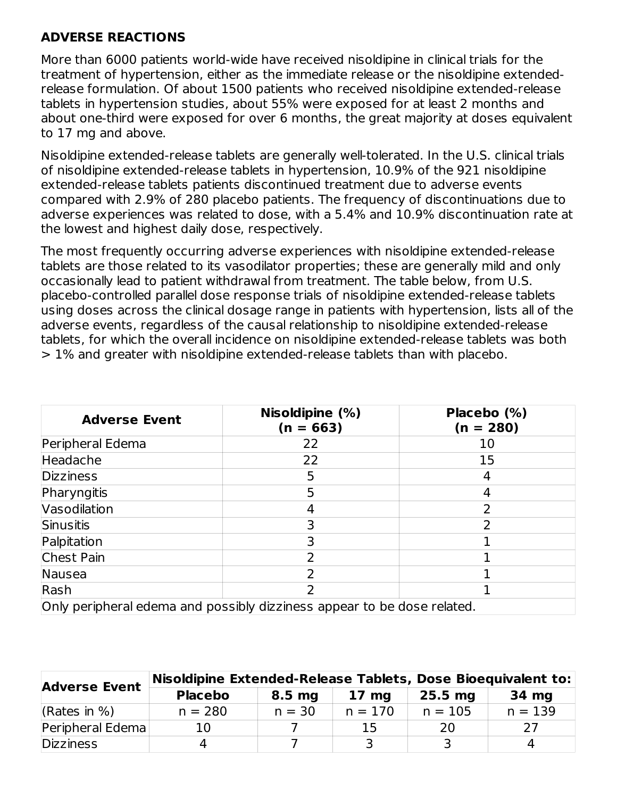### **ADVERSE REACTIONS**

More than 6000 patients world-wide have received nisoldipine in clinical trials for the treatment of hypertension, either as the immediate release or the nisoldipine extendedrelease formulation. Of about 1500 patients who received nisoldipine extended-release tablets in hypertension studies, about 55% were exposed for at least 2 months and about one-third were exposed for over 6 months, the great majority at doses equivalent to 17 mg and above.

Nisoldipine extended-release tablets are generally well-tolerated. In the U.S. clinical trials of nisoldipine extended-release tablets in hypertension, 10.9% of the 921 nisoldipine extended-release tablets patients discontinued treatment due to adverse events compared with 2.9% of 280 placebo patients. The frequency of discontinuations due to adverse experiences was related to dose, with a 5.4% and 10.9% discontinuation rate at the lowest and highest daily dose, respectively.

The most frequently occurring adverse experiences with nisoldipine extended-release tablets are those related to its vasodilator properties; these are generally mild and only occasionally lead to patient withdrawal from treatment. The table below, from U.S. placebo-controlled parallel dose response trials of nisoldipine extended-release tablets using doses across the clinical dosage range in patients with hypertension, lists all of the adverse events, regardless of the causal relationship to nisoldipine extended-release tablets, for which the overall incidence on nisoldipine extended-release tablets was both > 1% and greater with nisoldipine extended-release tablets than with placebo.

| <b>Adverse Event</b> | Nisoldipine (%)<br>$(n = 663)$                                          | Placebo (%)<br>$(n = 280)$ |
|----------------------|-------------------------------------------------------------------------|----------------------------|
| Peripheral Edema     | 22                                                                      | 10                         |
| Headache             | 22                                                                      | 15                         |
| <b>Dizziness</b>     | 5.                                                                      |                            |
| Pharyngitis          | 5                                                                       |                            |
| Vasodilation         |                                                                         |                            |
| Sinusitis            |                                                                         | っ                          |
| Palpitation          |                                                                         |                            |
| Chest Pain           |                                                                         |                            |
| Nausea               |                                                                         |                            |
| Rash                 |                                                                         |                            |
|                      | Only peripheral edema and possibly dizziness appear to be dose related. |                            |

| <b>Adverse Event</b> | Nisoldipine Extended-Release Tablets, Dose Bioequivalent to: |                   |                 |           |           |  |  |
|----------------------|--------------------------------------------------------------|-------------------|-----------------|-----------|-----------|--|--|
|                      | <b>Placebo</b>                                               | 8.5 <sub>mg</sub> | $17 \text{ mg}$ | $25.5$ mg | 34 mg     |  |  |
| (Rates in $%$ )      | $n = 280$                                                    | $n = 30$          | $n = 170$       | $n = 105$ | $n = 139$ |  |  |
| Peripheral Edema     | 10                                                           |                   | 15              | 20        | つフ        |  |  |
| <b>Dizziness</b>     |                                                              |                   |                 |           | Д         |  |  |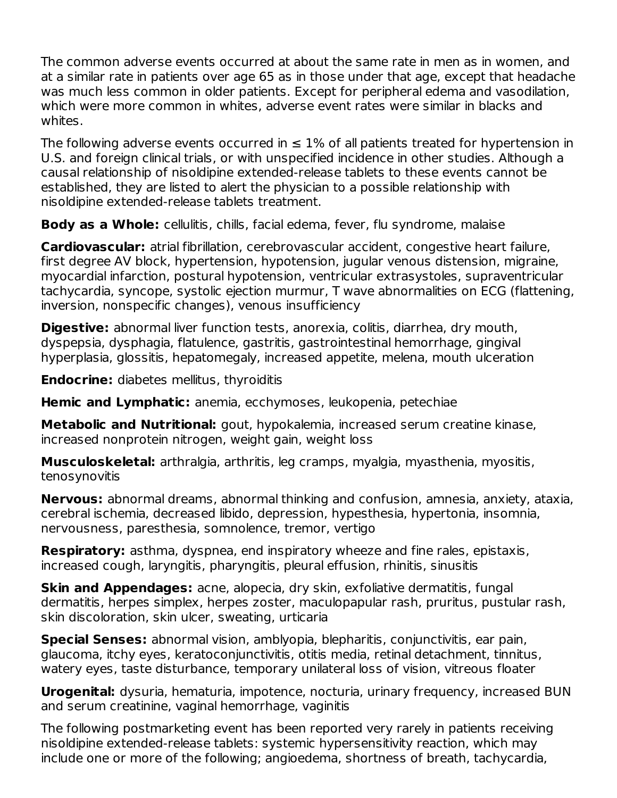The common adverse events occurred at about the same rate in men as in women, and at a similar rate in patients over age 65 as in those under that age, except that headache was much less common in older patients. Except for peripheral edema and vasodilation, which were more common in whites, adverse event rates were similar in blacks and whites.

The following adverse events occurred in  $\leq 1\%$  of all patients treated for hypertension in U.S. and foreign clinical trials, or with unspecified incidence in other studies. Although a causal relationship of nisoldipine extended-release tablets to these events cannot be established, they are listed to alert the physician to a possible relationship with nisoldipine extended-release tablets treatment.

**Body as a Whole:** cellulitis, chills, facial edema, fever, flu syndrome, malaise

**Cardiovascular:** atrial fibrillation, cerebrovascular accident, congestive heart failure, first degree AV block, hypertension, hypotension, jugular venous distension, migraine, myocardial infarction, postural hypotension, ventricular extrasystoles, supraventricular tachycardia, syncope, systolic ejection murmur, T wave abnormalities on ECG (flattening, inversion, nonspecific changes), venous insufficiency

**Digestive:** abnormal liver function tests, anorexia, colitis, diarrhea, dry mouth, dyspepsia, dysphagia, flatulence, gastritis, gastrointestinal hemorrhage, gingival hyperplasia, glossitis, hepatomegaly, increased appetite, melena, mouth ulceration

**Endocrine:** diabetes mellitus, thyroiditis

**Hemic and Lymphatic:** anemia, ecchymoses, leukopenia, petechiae

**Metabolic and Nutritional:** gout, hypokalemia, increased serum creatine kinase, increased nonprotein nitrogen, weight gain, weight loss

**Musculoskeletal:** arthralgia, arthritis, leg cramps, myalgia, myasthenia, myositis, tenosynovitis

**Nervous:** abnormal dreams, abnormal thinking and confusion, amnesia, anxiety, ataxia, cerebral ischemia, decreased libido, depression, hypesthesia, hypertonia, insomnia, nervousness, paresthesia, somnolence, tremor, vertigo

**Respiratory:** asthma, dyspnea, end inspiratory wheeze and fine rales, epistaxis, increased cough, laryngitis, pharyngitis, pleural effusion, rhinitis, sinusitis

**Skin and Appendages:** acne, alopecia, dry skin, exfoliative dermatitis, fungal dermatitis, herpes simplex, herpes zoster, maculopapular rash, pruritus, pustular rash, skin discoloration, skin ulcer, sweating, urticaria

**Special Senses:** abnormal vision, amblyopia, blepharitis, conjunctivitis, ear pain, glaucoma, itchy eyes, keratoconjunctivitis, otitis media, retinal detachment, tinnitus, watery eyes, taste disturbance, temporary unilateral loss of vision, vitreous floater

**Urogenital:** dysuria, hematuria, impotence, nocturia, urinary frequency, increased BUN and serum creatinine, vaginal hemorrhage, vaginitis

The following postmarketing event has been reported very rarely in patients receiving nisoldipine extended-release tablets: systemic hypersensitivity reaction, which may include one or more of the following; angioedema, shortness of breath, tachycardia,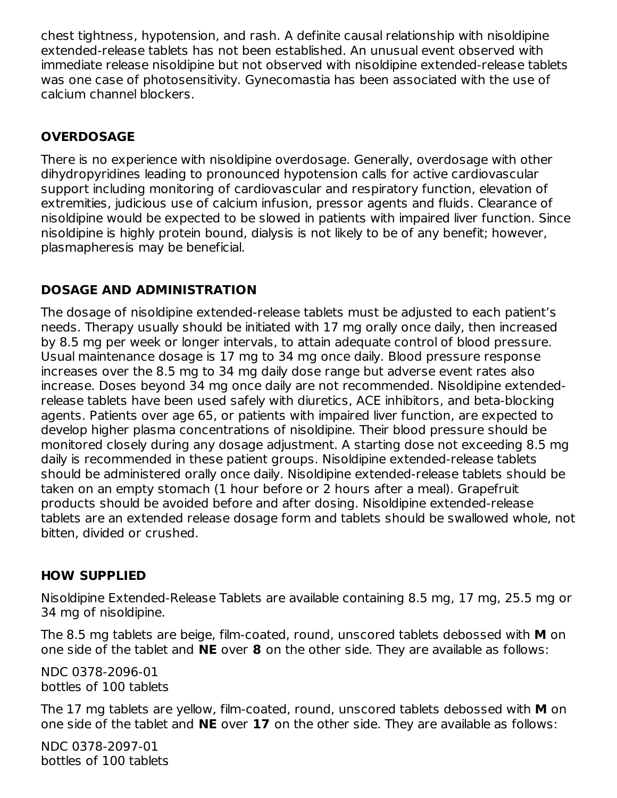chest tightness, hypotension, and rash. A definite causal relationship with nisoldipine extended-release tablets has not been established. An unusual event observed with immediate release nisoldipine but not observed with nisoldipine extended-release tablets was one case of photosensitivity. Gynecomastia has been associated with the use of calcium channel blockers.

## **OVERDOSAGE**

There is no experience with nisoldipine overdosage. Generally, overdosage with other dihydropyridines leading to pronounced hypotension calls for active cardiovascular support including monitoring of cardiovascular and respiratory function, elevation of extremities, judicious use of calcium infusion, pressor agents and fluids. Clearance of nisoldipine would be expected to be slowed in patients with impaired liver function. Since nisoldipine is highly protein bound, dialysis is not likely to be of any benefit; however, plasmapheresis may be beneficial.

## **DOSAGE AND ADMINISTRATION**

The dosage of nisoldipine extended-release tablets must be adjusted to each patient's needs. Therapy usually should be initiated with 17 mg orally once daily, then increased by 8.5 mg per week or longer intervals, to attain adequate control of blood pressure. Usual maintenance dosage is 17 mg to 34 mg once daily. Blood pressure response increases over the 8.5 mg to 34 mg daily dose range but adverse event rates also increase. Doses beyond 34 mg once daily are not recommended. Nisoldipine extendedrelease tablets have been used safely with diuretics, ACE inhibitors, and beta-blocking agents. Patients over age 65, or patients with impaired liver function, are expected to develop higher plasma concentrations of nisoldipine. Their blood pressure should be monitored closely during any dosage adjustment. A starting dose not exceeding 8.5 mg daily is recommended in these patient groups. Nisoldipine extended-release tablets should be administered orally once daily. Nisoldipine extended-release tablets should be taken on an empty stomach (1 hour before or 2 hours after a meal). Grapefruit products should be avoided before and after dosing. Nisoldipine extended-release tablets are an extended release dosage form and tablets should be swallowed whole, not bitten, divided or crushed.

### **HOW SUPPLIED**

Nisoldipine Extended-Release Tablets are available containing 8.5 mg, 17 mg, 25.5 mg or 34 mg of nisoldipine.

The 8.5 mg tablets are beige, film-coated, round, unscored tablets debossed with **M** on one side of the tablet and **NE** over **8** on the other side. They are available as follows:

NDC 0378-2096-01 bottles of 100 tablets

The 17 mg tablets are yellow, film-coated, round, unscored tablets debossed with **M** on one side of the tablet and **NE** over **17** on the other side. They are available as follows:

NDC 0378-2097-01 bottles of 100 tablets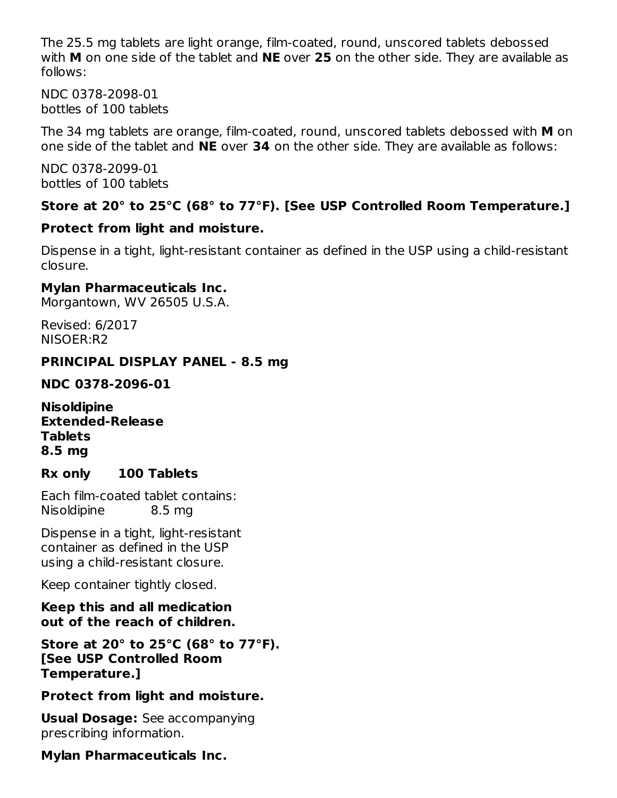The 25.5 mg tablets are light orange, film-coated, round, unscored tablets debossed with **M** on one side of the tablet and **NE** over **25** on the other side. They are available as follows:

NDC 0378-2098-01 bottles of 100 tablets

The 34 mg tablets are orange, film-coated, round, unscored tablets debossed with **M** on one side of the tablet and **NE** over **34** on the other side. They are available as follows:

NDC 0378-2099-01 bottles of 100 tablets

#### **Store at 20° to 25°C (68° to 77°F). [See USP Controlled Room Temperature.]**

#### **Protect from light and moisture.**

Dispense in a tight, light-resistant container as defined in the USP using a child-resistant closure.

#### **Mylan Pharmaceuticals Inc.**

Morgantown, WV 26505 U.S.A.

Revised: 6/2017 NISOER:R2

#### **PRINCIPAL DISPLAY PANEL - 8.5 mg**

**NDC 0378-2096-01**

**Nisoldipine Extended-Release Tablets 8.5 mg**

### **Rx only 100 Tablets**

Each film-coated tablet contains: Nisoldipine 8.5 mg

Dispense in a tight, light-resistant container as defined in the USP using a child-resistant closure.

Keep container tightly closed.

**Keep this and all medication out of the reach of children.**

**Store at 20° to 25°C (68° to 77°F). [See USP Controlled Room Temperature.]**

#### **Protect from light and moisture.**

**Usual Dosage:** See accompanying prescribing information.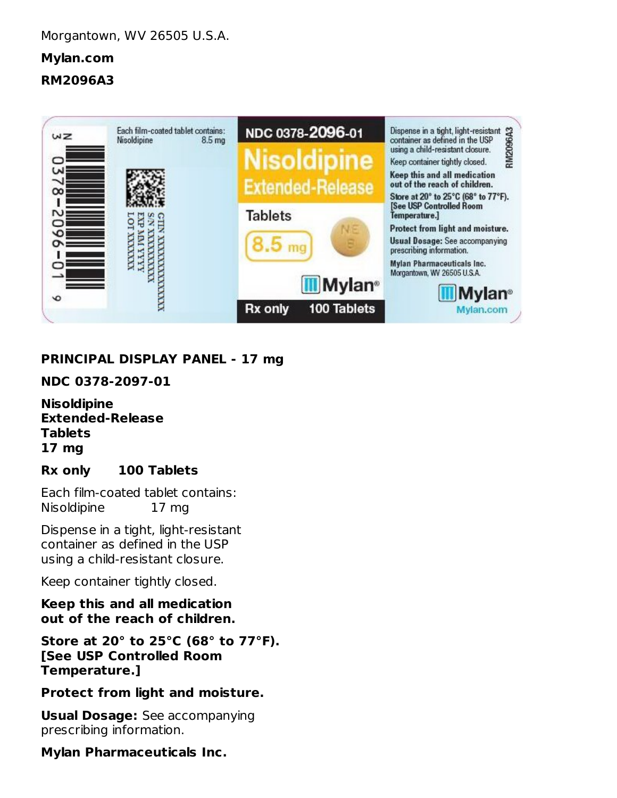**RM2096A3**



## **PRINCIPAL DISPLAY PANEL - 17 mg**

**NDC 0378-2097-01**

**Nisoldipine Extended-Release Tablets 17 mg**

### **Rx only 100 Tablets**

Each film-coated tablet contains: Nisoldipine 17 mg

Dispense in a tight, light-resistant container as defined in the USP using a child-resistant closure.

Keep container tightly closed.

**Keep this and all medication out of the reach of children.**

**Store at 20° to 25°C (68° to 77°F). [See USP Controlled Room Temperature.]**

#### **Protect from light and moisture.**

**Usual Dosage:** See accompanying prescribing information.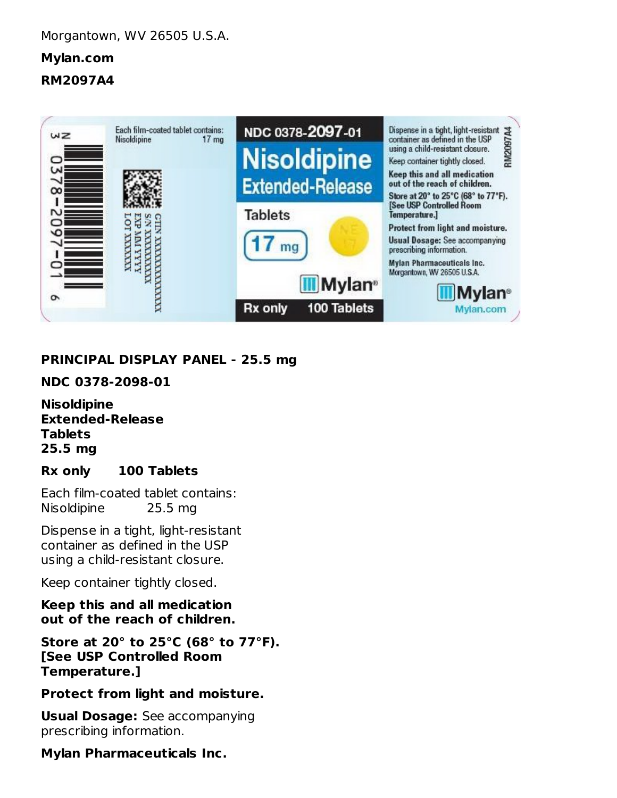**RM2097A4**



### **PRINCIPAL DISPLAY PANEL - 25.5 mg**

#### **NDC 0378-2098-01**

**Nisoldipine Extended-Release Tablets 25.5 mg**

### **Rx only 100 Tablets**

Each film-coated tablet contains: Nisoldipine 25.5 mg

Dispense in a tight, light-resistant container as defined in the USP using a child-resistant closure.

Keep container tightly closed.

**Keep this and all medication out of the reach of children.**

**Store at 20° to 25°C (68° to 77°F). [See USP Controlled Room Temperature.]**

### **Protect from light and moisture.**

**Usual Dosage:** See accompanying prescribing information.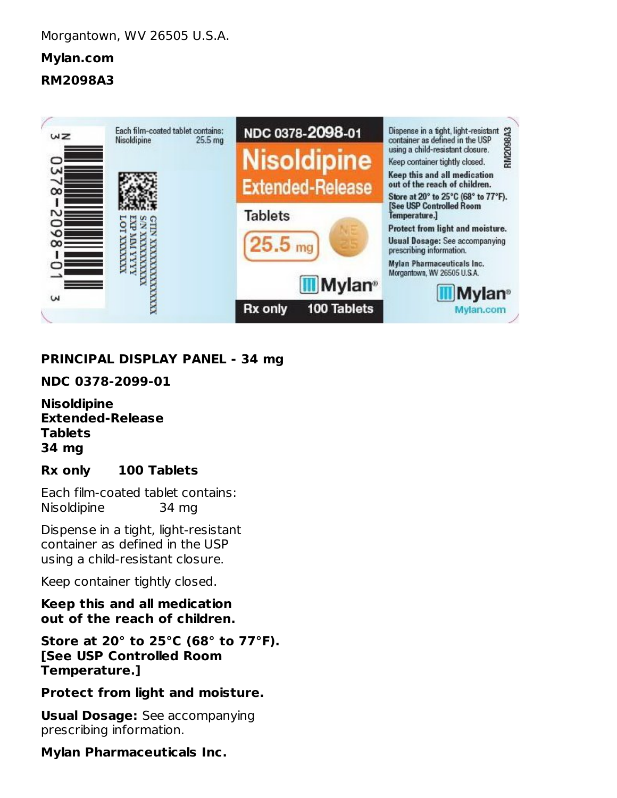**RM2098A3**



## **PRINCIPAL DISPLAY PANEL - 34 mg**

**NDC 0378-2099-01**

**Nisoldipine Extended-Release Tablets 34 mg**

### **Rx only 100 Tablets**

Each film-coated tablet contains: Nisoldipine 34 mg

Dispense in a tight, light-resistant container as defined in the USP using a child-resistant closure.

Keep container tightly closed.

**Keep this and all medication out of the reach of children.**

**Store at 20° to 25°C (68° to 77°F). [See USP Controlled Room Temperature.]**

#### **Protect from light and moisture.**

**Usual Dosage:** See accompanying prescribing information.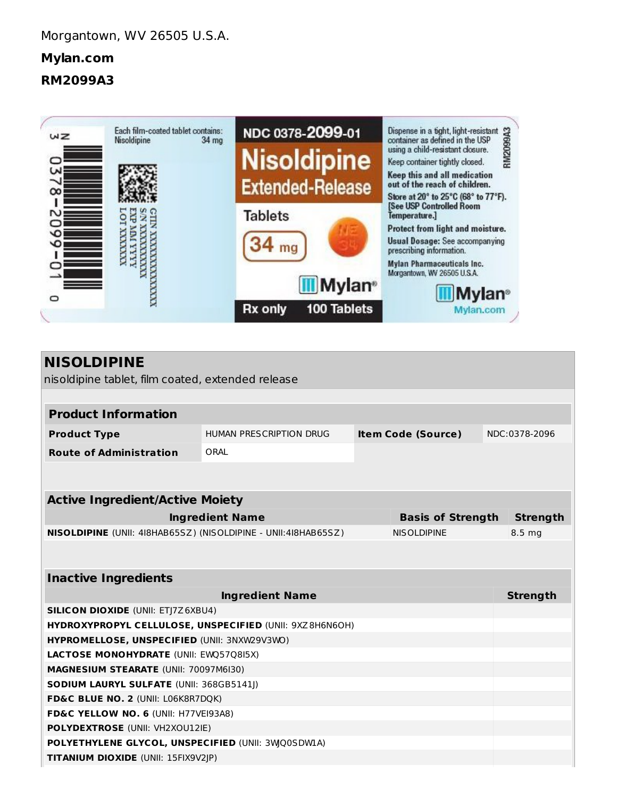**RM2099A3**



| <b>NISOLDIPINE</b>                                             |                                    |  |                           |  |                 |  |  |  |
|----------------------------------------------------------------|------------------------------------|--|---------------------------|--|-----------------|--|--|--|
| nisoldipine tablet, film coated, extended release              |                                    |  |                           |  |                 |  |  |  |
|                                                                |                                    |  |                           |  |                 |  |  |  |
| <b>Product Information</b>                                     |                                    |  |                           |  |                 |  |  |  |
| <b>Product Type</b>                                            | HUMAN PRESCRIPTION DRUG            |  | <b>Item Code (Source)</b> |  | NDC:0378-2096   |  |  |  |
| <b>Route of Administration</b>                                 | ORAI                               |  |                           |  |                 |  |  |  |
|                                                                |                                    |  |                           |  |                 |  |  |  |
|                                                                |                                    |  |                           |  |                 |  |  |  |
| <b>Active Ingredient/Active Moiety</b>                         |                                    |  |                           |  |                 |  |  |  |
|                                                                | <b>Ingredient Name</b>             |  | <b>Basis of Strength</b>  |  | <b>Strength</b> |  |  |  |
| NISOLDIPINE (UNII: 418HAB65SZ) (NISOLDIPINE - UNII:418HAB65SZ) |                                    |  | <b>NISOLDIPINE</b>        |  | 8.5 mg          |  |  |  |
|                                                                |                                    |  |                           |  |                 |  |  |  |
|                                                                |                                    |  |                           |  |                 |  |  |  |
| <b>Inactive Ingredients</b>                                    |                                    |  |                           |  |                 |  |  |  |
|                                                                | <b>Ingredient Name</b>             |  |                           |  | <b>Strength</b> |  |  |  |
| <b>SILICON DIOXIDE (UNII: ETJ7Z6XBU4)</b>                      |                                    |  |                           |  |                 |  |  |  |
| HYDROXYPROPYL CELLULOSE, UNSPECIFIED (UNII: 9XZ8H6N6OH)        |                                    |  |                           |  |                 |  |  |  |
| HYPROMELLOSE, UNSPECIFIED (UNII: 3NXW29V3WO)                   |                                    |  |                           |  |                 |  |  |  |
| LACTOSE MONOHYDRATE (UNII: EWQ57Q8I5X)                         |                                    |  |                           |  |                 |  |  |  |
| MAGNESIUM STEARATE (UNII: 70097M6I30)                          |                                    |  |                           |  |                 |  |  |  |
| SODIUM LAURYL SULFATE (UNII: 368GB5141J)                       |                                    |  |                           |  |                 |  |  |  |
|                                                                | FD&C BLUE NO. 2 (UNII: L06K8R7DQK) |  |                           |  |                 |  |  |  |
| FD&C YELLOW NO. 6 (UNII: H77VEI93A8)                           |                                    |  |                           |  |                 |  |  |  |
| POLYDEXTROSE (UNII: VH2XOU12IE)                                |                                    |  |                           |  |                 |  |  |  |
| POLYETHYLENE GLYCOL, UNSPECIFIED (UNII: 3WQ0SDWIA)             |                                    |  |                           |  |                 |  |  |  |
| TITANIUM DIOXIDE (UNII: 15FIX9V2JP)                            |                                    |  |                           |  |                 |  |  |  |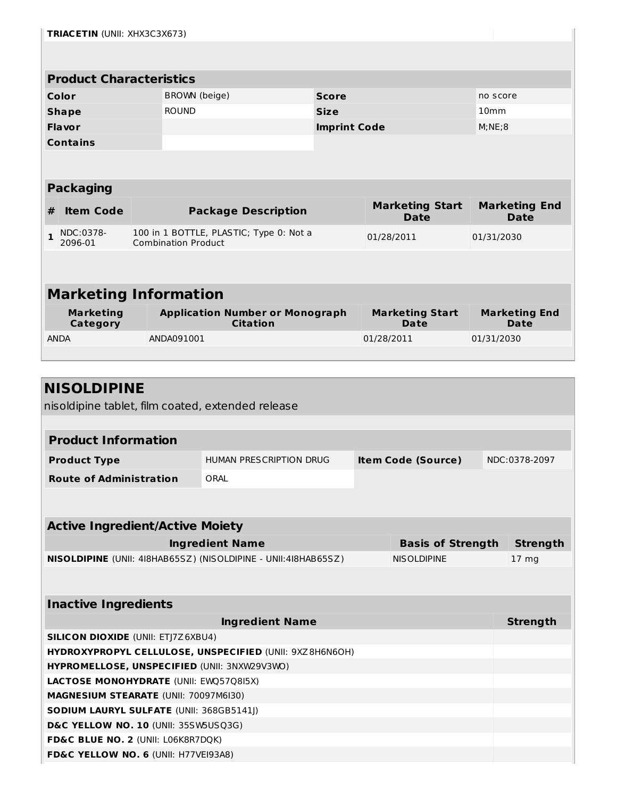|              | <b>TRIACETIN (UNII: XHX3C3X673)</b>    |  |                                                                       |                     |                                       |                                     |  |  |  |
|--------------|----------------------------------------|--|-----------------------------------------------------------------------|---------------------|---------------------------------------|-------------------------------------|--|--|--|
|              |                                        |  |                                                                       |                     |                                       |                                     |  |  |  |
|              | <b>Product Characteristics</b>         |  |                                                                       |                     |                                       |                                     |  |  |  |
|              | BROWN (beige)<br>Color<br><b>Score</b> |  |                                                                       | no score            |                                       |                                     |  |  |  |
|              | <b>Shape</b>                           |  | <b>ROUND</b>                                                          | <b>Size</b>         |                                       | 10 <sub>mm</sub>                    |  |  |  |
|              | <b>Flavor</b>                          |  |                                                                       | <b>Imprint Code</b> |                                       | M;NE;8                              |  |  |  |
|              | <b>Contains</b>                        |  |                                                                       |                     |                                       |                                     |  |  |  |
|              |                                        |  |                                                                       |                     |                                       |                                     |  |  |  |
|              | <b>Packaging</b>                       |  |                                                                       |                     |                                       |                                     |  |  |  |
| #            | <b>Item Code</b>                       |  | <b>Package Description</b>                                            |                     | <b>Marketing Start</b><br><b>Date</b> | <b>Marketing End</b><br><b>Date</b> |  |  |  |
| $\mathbf{1}$ | NDC:0378-<br>2096-01                   |  | 100 in 1 BOTTLE, PLASTIC; Type 0: Not a<br><b>Combination Product</b> |                     | 01/28/2011                            | 01/31/2030                          |  |  |  |
|              |                                        |  |                                                                       |                     |                                       |                                     |  |  |  |
|              |                                        |  |                                                                       |                     |                                       |                                     |  |  |  |
|              | <b>Marketing Information</b>           |  |                                                                       |                     |                                       |                                     |  |  |  |
|              | <b>Marketing</b><br>Category           |  | <b>Application Number or Monograph</b><br><b>Citation</b>             |                     | <b>Marketing Start</b><br><b>Date</b> | <b>Marketing End</b><br>Date        |  |  |  |
| <b>ANDA</b>  |                                        |  | ANDA091001                                                            |                     | 01/28/2011                            | 01/31/2030                          |  |  |  |
|              |                                        |  |                                                                       |                     |                                       |                                     |  |  |  |

| <b>NISOLDIPINE</b>                                             |                                                         |  |                           |  |                  |
|----------------------------------------------------------------|---------------------------------------------------------|--|---------------------------|--|------------------|
| nisoldipine tablet, film coated, extended release              |                                                         |  |                           |  |                  |
|                                                                |                                                         |  |                           |  |                  |
| <b>Product Information</b>                                     |                                                         |  |                           |  |                  |
| <b>Product Type</b>                                            | <b>HUMAN PRESCRIPTION DRUG</b>                          |  | <b>Item Code (Source)</b> |  | NDC:0378-2097    |
| <b>Route of Administration</b>                                 | ORAL                                                    |  |                           |  |                  |
|                                                                |                                                         |  |                           |  |                  |
|                                                                |                                                         |  |                           |  |                  |
| <b>Active Ingredient/Active Moiety</b>                         |                                                         |  |                           |  |                  |
|                                                                | <b>Ingredient Name</b>                                  |  | <b>Basis of Strength</b>  |  | <b>Strength</b>  |
| NISOLDIPINE (UNII: 418HAB65SZ) (NISOLDIPINE - UNII:418HAB65SZ) |                                                         |  | <b>NISOLDIPINE</b>        |  | 17 <sub>mg</sub> |
|                                                                |                                                         |  |                           |  |                  |
| <b>Inactive Ingredients</b>                                    |                                                         |  |                           |  |                  |
|                                                                | <b>Ingredient Name</b>                                  |  |                           |  | <b>Strength</b>  |
| <b>SILICON DIOXIDE (UNII: ETJ7Z6XBU4)</b>                      |                                                         |  |                           |  |                  |
|                                                                | HYDROXYPROPYL CELLULOSE, UNSPECIFIED (UNII: 9XZ8H6N6OH) |  |                           |  |                  |
| HYPROMELLOSE, UNSPECIFIED (UNII: 3NXW29V3WO)                   |                                                         |  |                           |  |                  |
| <b>LACTOSE MONOHYDRATE (UNII: EWQ57Q8I5X)</b>                  |                                                         |  |                           |  |                  |
| MAGNESIUM STEARATE (UNII: 70097M6I30)                          |                                                         |  |                           |  |                  |
| SODIUM LAURYL SULFATE (UNII: 368GB5141J)                       |                                                         |  |                           |  |                  |
| D&C YELLOW NO. 10 (UNII: 35SW5USQ3G)                           |                                                         |  |                           |  |                  |
| FD&C BLUE NO. 2 (UNII: L06K8R7DQK)                             |                                                         |  |                           |  |                  |
| FD&C YELLOW NO. 6 (UNII: H77VEI93A8)                           |                                                         |  |                           |  |                  |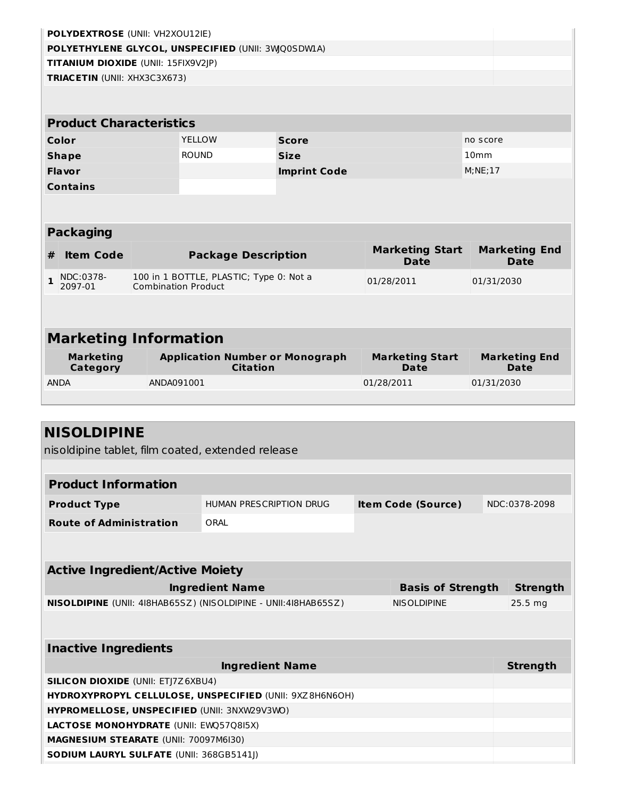|                                | <b>POLYDEXTROSE (UNII: VH2XOU12IE)</b>             |            |                                                                       |                                                           |                                       |                                     |  |  |  |  |
|--------------------------------|----------------------------------------------------|------------|-----------------------------------------------------------------------|-----------------------------------------------------------|---------------------------------------|-------------------------------------|--|--|--|--|
|                                | POLYETHYLENE GLYCOL, UNSPECIFIED (UNII: 3WQ0SDWLA) |            |                                                                       |                                                           |                                       |                                     |  |  |  |  |
|                                | TITANIUM DIOXIDE (UNII: 15FIX9V2JP)                |            |                                                                       |                                                           |                                       |                                     |  |  |  |  |
|                                | TRIACETIN (UNII: XHX3C3X673)                       |            |                                                                       |                                                           |                                       |                                     |  |  |  |  |
|                                |                                                    |            |                                                                       |                                                           |                                       |                                     |  |  |  |  |
| <b>Product Characteristics</b> |                                                    |            |                                                                       |                                                           |                                       |                                     |  |  |  |  |
|                                |                                                    |            |                                                                       |                                                           |                                       |                                     |  |  |  |  |
|                                | Color                                              |            | <b>YELLOW</b>                                                         | <b>Score</b>                                              |                                       | no score                            |  |  |  |  |
|                                | <b>Shape</b>                                       |            | <b>ROUND</b>                                                          | <b>Size</b>                                               |                                       | 10 <sub>mm</sub>                    |  |  |  |  |
|                                | <b>Flavor</b>                                      |            |                                                                       | <b>Imprint Code</b>                                       |                                       | M; NE; 17                           |  |  |  |  |
|                                | <b>Contains</b>                                    |            |                                                                       |                                                           |                                       |                                     |  |  |  |  |
|                                |                                                    |            |                                                                       |                                                           |                                       |                                     |  |  |  |  |
|                                | <b>Packaging</b>                                   |            |                                                                       |                                                           |                                       |                                     |  |  |  |  |
| #                              | <b>Item Code</b>                                   |            | <b>Package Description</b>                                            |                                                           | <b>Marketing Start</b><br><b>Date</b> | <b>Marketing End</b><br><b>Date</b> |  |  |  |  |
| $\mathbf{1}$                   | NDC:0378-<br>2097-01                               |            | 100 in 1 BOTTLE, PLASTIC; Type 0: Not a<br><b>Combination Product</b> |                                                           | 01/28/2011                            | 01/31/2030                          |  |  |  |  |
|                                |                                                    |            |                                                                       |                                                           |                                       |                                     |  |  |  |  |
|                                | <b>Marketing Information</b>                       |            |                                                                       |                                                           |                                       |                                     |  |  |  |  |
|                                | <b>Marketing</b><br>Category                       |            |                                                                       | <b>Application Number or Monograph</b><br><b>Citation</b> | <b>Marketing Start</b><br>Date        | <b>Marketing End</b><br>Date        |  |  |  |  |
| <b>ANDA</b>                    |                                                    | ANDA091001 |                                                                       |                                                           | 01/28/2011                            | 01/31/2030                          |  |  |  |  |
|                                |                                                    |            |                                                                       |                                                           |                                       |                                     |  |  |  |  |
|                                |                                                    |            |                                                                       |                                                           |                                       |                                     |  |  |  |  |
|                                | <b>NISOLDIPINE</b>                                 |            |                                                                       |                                                           |                                       |                                     |  |  |  |  |
|                                |                                                    |            | nisoldipine tablet, film coated, extended release                     |                                                           |                                       |                                     |  |  |  |  |
|                                |                                                    |            |                                                                       |                                                           |                                       |                                     |  |  |  |  |
|                                | <b>Product Information</b>                         |            |                                                                       |                                                           |                                       |                                     |  |  |  |  |
|                                |                                                    |            |                                                                       |                                                           |                                       |                                     |  |  |  |  |
|                                | <b>Product Type</b>                                |            |                                                                       | HUMAN PRESCRIPTION DRUG                                   | <b>Item Code (Source)</b>             | NDC:0378-2098                       |  |  |  |  |

| <b>Active Ingredient/Active Moiety</b>                                |                          |                    |  |  |  |  |  |
|-----------------------------------------------------------------------|--------------------------|--------------------|--|--|--|--|--|
| <b>Ingredient Name</b>                                                | <b>Basis of Strength</b> | <b>Strength</b>    |  |  |  |  |  |
| <b>NISOLDIPINE</b> (UNII: 418HAB65SZ) (NISOLDIPINE - UNII:418HAB65SZ) | <b>NISOLDIPINE</b>       | 25.5 <sub>mg</sub> |  |  |  |  |  |
|                                                                       |                          |                    |  |  |  |  |  |
| <b>Inactive Ingredients</b>                                           |                          |                    |  |  |  |  |  |
| <b>Ingredient Name</b>                                                |                          | <b>Strength</b>    |  |  |  |  |  |
| <b>SILICON DIOXIDE (UNII: ETI7Z6XBU4)</b>                             |                          |                    |  |  |  |  |  |
| <b>HYDROXYPROPYL CELLULOSE, UNSPECIFIED (UNII: 9XZ8H6N6OH)</b>        |                          |                    |  |  |  |  |  |
| <b>HYPROMELLOSE, UNSPECIFIED (UNII: 3NXW29V3WO)</b>                   |                          |                    |  |  |  |  |  |
| <b>LACTOSE MONOHYDRATE (UNII: EWQ57Q8I5X)</b>                         |                          |                    |  |  |  |  |  |
| <b>MAGNESIUM STEARATE (UNII: 70097M6I30)</b>                          |                          |                    |  |  |  |  |  |
| <b>SODIUM LAURYL SULFATE (UNII: 368GB5141I)</b>                       |                          |                    |  |  |  |  |  |

**Route of Administration** ORAL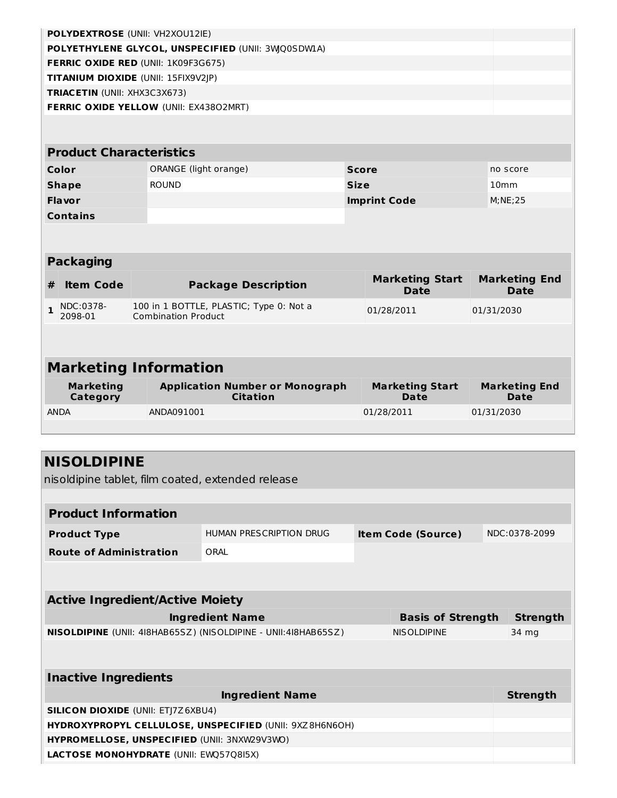|                  | POLYDEXTROSE (UNII: VH2XOU12IE)     |                                                                       |                     |                                       |                                     |  |  |  |  |  |
|------------------|-------------------------------------|-----------------------------------------------------------------------|---------------------|---------------------------------------|-------------------------------------|--|--|--|--|--|
|                  |                                     | POLYETHYLENE GLYCOL, UNSPECIFIED (UNII: 3WQ0SDW1A)                    |                     |                                       |                                     |  |  |  |  |  |
|                  |                                     | FERRIC OXIDE RED (UNII: 1K09F3G675)                                   |                     |                                       |                                     |  |  |  |  |  |
|                  | TITANIUM DIOXIDE (UNII: 15FIX9V2JP) |                                                                       |                     |                                       |                                     |  |  |  |  |  |
|                  | TRIACETIN (UNII: XHX3C3X673)        |                                                                       |                     |                                       |                                     |  |  |  |  |  |
|                  |                                     | <b>FERRIC OXIDE YELLOW (UNII: EX43802MRT)</b>                         |                     |                                       |                                     |  |  |  |  |  |
|                  |                                     |                                                                       |                     |                                       |                                     |  |  |  |  |  |
|                  |                                     |                                                                       |                     |                                       |                                     |  |  |  |  |  |
|                  | <b>Product Characteristics</b>      |                                                                       |                     |                                       |                                     |  |  |  |  |  |
|                  | Color                               | ORANGE (light orange)                                                 | <b>Score</b>        |                                       | no score                            |  |  |  |  |  |
|                  | <b>Shape</b>                        | <b>ROUND</b>                                                          | <b>Size</b>         |                                       | 10 <sub>mm</sub>                    |  |  |  |  |  |
|                  | <b>Flavor</b>                       |                                                                       | <b>Imprint Code</b> |                                       | M;NE;25                             |  |  |  |  |  |
|                  | <b>Contains</b>                     |                                                                       |                     |                                       |                                     |  |  |  |  |  |
|                  |                                     |                                                                       |                     |                                       |                                     |  |  |  |  |  |
|                  |                                     |                                                                       |                     |                                       |                                     |  |  |  |  |  |
| <b>Packaging</b> |                                     |                                                                       |                     |                                       |                                     |  |  |  |  |  |
|                  |                                     |                                                                       |                     |                                       |                                     |  |  |  |  |  |
| #                | <b>Item Code</b>                    | <b>Package Description</b>                                            |                     | <b>Marketing Start</b><br><b>Date</b> | <b>Marketing End</b><br><b>Date</b> |  |  |  |  |  |
| $\mathbf{1}$     | NDC:0378-<br>2098-01                | 100 in 1 BOTTLE, PLASTIC; Type 0: Not a<br><b>Combination Product</b> |                     | 01/28/2011                            | 01/31/2030                          |  |  |  |  |  |
|                  |                                     |                                                                       |                     |                                       |                                     |  |  |  |  |  |
|                  |                                     |                                                                       |                     |                                       |                                     |  |  |  |  |  |
|                  |                                     | <b>Marketing Information</b>                                          |                     |                                       |                                     |  |  |  |  |  |
|                  | <b>Marketing</b><br><b>Category</b> | <b>Application Number or Monograph</b><br><b>Citation</b>             |                     | <b>Marketing Start</b><br><b>Date</b> | <b>Marketing End</b><br><b>Date</b> |  |  |  |  |  |
| <b>ANDA</b>      |                                     | ANDA091001                                                            |                     | 01/28/2011                            | 01/31/2030                          |  |  |  |  |  |
|                  |                                     |                                                                       |                     |                                       |                                     |  |  |  |  |  |

| <b>NISOLDIPINE</b> |
|--------------------|
|--------------------|

nisoldipine tablet, film coated, extended release

| <b>Product Information</b>                                     |                         |                    |                           |       |                 |
|----------------------------------------------------------------|-------------------------|--------------------|---------------------------|-------|-----------------|
| <b>Product Type</b>                                            | HUMAN PRESCRIPTION DRUG |                    | <b>Item Code (Source)</b> |       | NDC:0378-2099   |
| <b>Route of Administration</b>                                 | ORAI                    |                    |                           |       |                 |
|                                                                |                         |                    |                           |       |                 |
| <b>Active Ingredient/Active Moiety</b>                         |                         |                    |                           |       |                 |
|                                                                |                         |                    |                           |       |                 |
| <b>Ingredient Name</b><br><b>Basis of Strength</b>             |                         |                    |                           |       | <b>Strength</b> |
| NISOLDIPINE (UNII: 418HAB65SZ) (NISOLDIPINE - UNII:418HAB65SZ) |                         | <b>NISOLDIPINE</b> |                           | 34 mg |                 |
|                                                                |                         |                    |                           |       |                 |
| <b>Inactive Ingredients</b>                                    |                         |                    |                           |       |                 |
|                                                                | <b>Ingredient Name</b>  |                    |                           |       | Strength        |
| <b>SILICON DIOXIDE (UNII: ETJ7Z6XBU4)</b>                      |                         |                    |                           |       |                 |
| HYDROXYPROPYL CELLULOSE, UNSPECIFIED (UNII: 9XZ8H6N6OH)        |                         |                    |                           |       |                 |
| HYPROMELLOSE, UNSPECIFIED (UNII: 3NXW29V3WO)                   |                         |                    |                           |       |                 |
| <b>LACTOSE MONOHYDRATE (UNII: EWQ57Q8I5X)</b>                  |                         |                    |                           |       |                 |